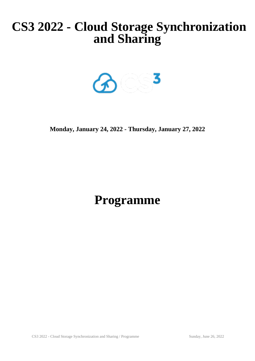# **CS3 2022 - Cloud Storage Synchronization and Sharing**



**Monday, January 24, 2022 - Thursday, January 27, 2022**

# **Programme**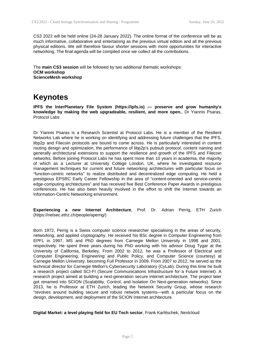CS3 2022 will be held online (24-28 January 2022). The online format of the conference will be as much informative, collaborative and entertaining as the previous virtual edition and all the previous physical editions. We will therefore favour shorter sessions with more opportunities for interactive networking. The final agenda will be compiled once we collect all the contributions.

The **main CS3 session** will be followed by two additional thematic workshops: **OCM workshop ScienceMesh workshop**

## **Keynotes**

**IPFS the InterPlanetary File System (https://ipfs.io) — preserve and grow humanity's knowledge by making the web upgradeable, resilient, and more open.**, Dr Yiannis Psaras, Protocol Labs

Dr Yiannis Psaras is a Research Scientist at Protocol Labs. He is a member of the Resilient Networks Lab where he is working on identifying and addressing future challenges that the IPFS, libp2p and Filecoin protocols are bound to come across. He is particularly interested in content routing design and optimization, the performance of libp2p's pubsub protocol, content naming and generally architectural extensions to support the resilience and growth of the IPFS and Filecoin networks. Before joining Protocol Labs he has spent more than 10 years in academia, the majority of which as a Lecturer at University College London, UK, where he investigated resource management techniques for current and future networking architectures with particular focus on "function-centric networks" to realize distributed and decentralized edge computing. He held a prestigious EPSRC Early Career Fellowship in the area of "content-oriented and service-centric edge-computing architectures" and has received five Best Conference Paper Awards in prestigious conferences. He has also been heavily involved in the effort to shift the Internet towards an Information-Centric Networking environment.

**Experiencing a new Internet Architecture**, Prof. Dr. Adrian Perrig, ETH Zurich (https://netsec.ethz.ch/people/aperrig/)

Born 1972, Perrig is a Swiss computer science researcher specialising in the areas of security, networking, and applied cryptography. He received his BSc degree in Computer Engineering from EPFL in 1997, MS and PhD degrees from Carnegie Mellon University in 1998 and 2001, respectively. He spent three years during his PhD working with his advisor Doug Tygar at the University of California, Berkeley. From 2002 to 2012, he was a Professor of Electrical and Computer Engineering, Engineering and Public Policy, and Computer Science (courtesy) at Carnegie Mellon University, becoming Full Professor in 2009. From 2007 to 2012, he served as the technical director for Carnegie Mellon's Cybersecurity Laboratory (CyLab). During this time he built a research project called SCI-FI (Secure Communications Infrastructure for a Future Internet). A research project aimed at building a next-generation secure internet architecture. The project later got renamed into SCION (Scalability, Control, and Isolation On Next-generation networks). Since 2013, he is Professor at ETH Zurich, leading the Network Security Group, whose research "revolves around building secure and robust network systems—with a particular focus on the design, development, and deployment of the SCION Internet architecture.

#### **Digital Market: a level playing field for EU Tech sector**, Frank Karlitschek, Nextcloud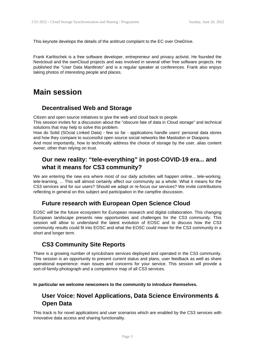This keynote develops the details of the antitrust complaint to the EC over OneDrive.

Frank Karlitschek is a free software developer, entrepreneur and privacy activist. He founded the Nextcloud and the ownCloud projects and was involved in several other free software projects. He published the "User Data Manifesto" and is a regular speaker at conferences. Frank also enjoys taking photos of interesting people and places.

### **Main session**

#### **Decentralised Web and Storage**

Citizen and open source initiatives to give the web and cloud back to people.

This session invites for a discussion about the "obscure fate of data in Cloud storage" and technical solutions that may help to solve this problem.

How do Solid (SOcial LInked Data) - few so far - applications handle users' personal data stores and how they compare to successful open source social networks like Mastodon or Diaspora.

And most importantly, how to technically address the choice of storage by the user, alias content owner, other than relying on trust.

### **Our new reality: "tele-everything" in post-COVID-19 era... and what it means for CS3 community?**

We are entering the new era where most of our daily activities will happen online... tele-working, tele-learning, ... This will almost certainly affect our community as a whole. What it means for the CS3 services and for our users? Should we adapt or re-focus our services? We invite contributions reflecting in general on this subject and participation in the campfire discussion.

#### **Future research with European Open Science Cloud**

EOSC will be the future ecosystem for European research and digital collaboration. This changing European landscape presents new opportunities and challenges for the CS3 community. This session will allow to understand the latest evolution of EOSC and to discuss how the CS3 community results could fit into EOSC and what the EOSC could mean for the CS3 community in a short and longer term.

#### **CS3 Community Site Reports**

There is a growing number of sync&share services deployed and operated in the CS3 community. This session is an opportunity to present current status and plans, user feedback as well as share operational experience: main issues and concerns for your service. This session will provide a sort-of-family-photograph and a competence map of all CS3 services.

**In particular we welcome newcomers to the community to introduce themselves.**

#### **User Voice: Novel Applications, Data Science Environments & Open Data**

This track is for novel applications and user scenarios which are enabled by the CS3 services with innovative data access and sharing functionality.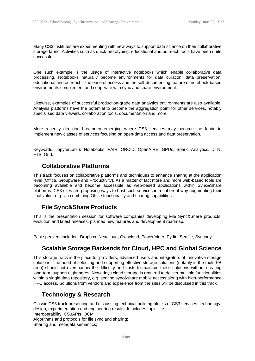Many CS3 institutes are experimenting with new ways to support data science on their collaborative storage fabric. Activities such as quick-prototyping, educational and outreach tools have been quite successful.

One such example is the usage of interactive notebooks which enable collaborative data processing. Notebooks naturally become environments for data curation, data preservation, educational and outreach. The ease of access and the self-documenting feature of notebook-based environments complement and cooperate with sync and share environment.

Likewise, examples of successful production-grade data analytics environments are also available. Analysis platforms have the potential to become the aggregation point for other services, notably specialised data viewers, collaboration tools, documentation and more.

More recently direction has been emerging where CS3 services may become the fabric to implement new classes of services focusing on open-data access and data preservation.

Keywords: JupyterLab & Notebooks, FAIR, ORCID, OpenAIRE, GPUs, Spark, Analytics, DTN, FTS, Grid.

#### **Collaborative Platforms**

This track focuses on collaborative platforms and techniques to enhance sharing at the application level (Office, Groupware and Productivity). As a matter of fact more and more web-based tools are becoming available and become accessible as web-based applications within Sync&Share platforms. CS3 sites are proposing ways to host such services in a coherent way augmenting their final value, e.g. via combining Office functionality and sharing capabilities.

#### **File Sync&Share Products**

This is the presentation session for software companies developing File Sync&Share products: evolution and latest releases, planned new features and development roadmap.

Past speakers included: Dropbox, Nextcloud, Owncloud, Powerfolder, Pydio, Seafile, Syncany

#### **Scalable Storage Backends for Cloud, HPC and Global Science**

This storage track is the place for providers, advanced users and integrators of innovative storage solutions. The need of selecting and supporting effective storage solutions (notably in the multi-PB area) should not overshadow the difficulty and costs to maintain these solutions without creating long-term support nightmares. Nowadays cloud storage is required to deliver multiple functionalities within a single data repository, e.g. serving sync&share mobile access along with high-performance HPC access. Solutions from vendors and experience from the sites will be discussed in this track.

#### **Technology & Research**

Classic CS3 track presenting and discussing technical building blocks of CS3 services: technology, design, experimentation and engineering results. It includes topic like: Interoperability: CS3APIs, OCM Algorithms and protocols for file sync and sharing; Sharing and metadata semantics;